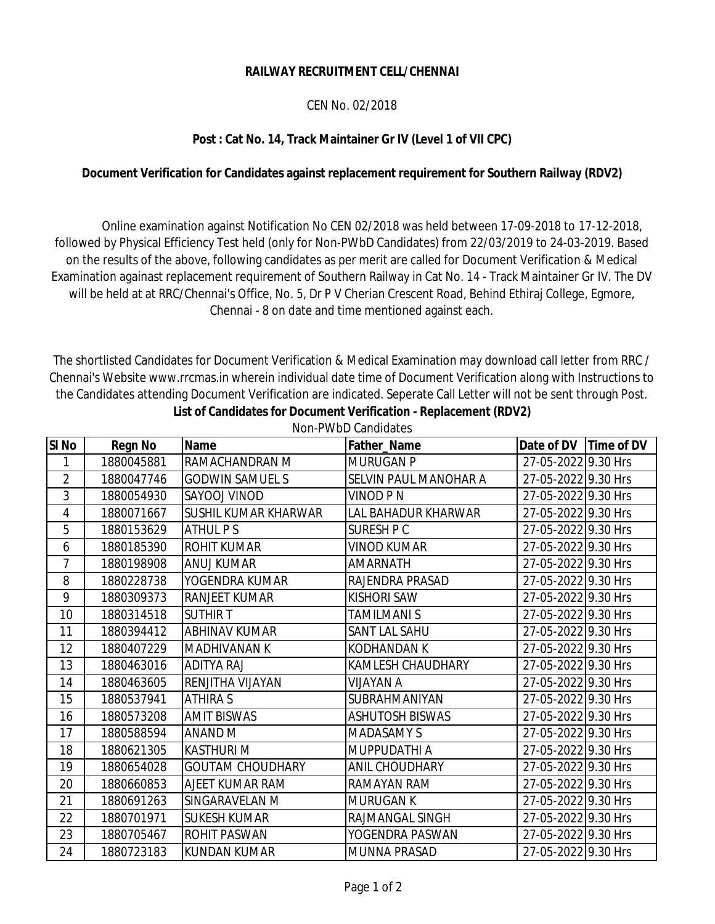## **RAILWAY RECRUITMENT CELL/CHENNAI**

## CEN No. 02/2018

## **Post : Cat No. 14, Track Maintainer Gr IV (Level 1 of VII CPC)**

## **Document Verification for Candidates against replacement requirement for Southern Railway (RDV2)**

 Online examination against Notification No CEN 02/2018 was held between 17-09-2018 to 17-12-2018, followed by Physical Efficiency Test held (only for Non-PWbD Candidates) from 22/03/2019 to 24-03-2019. Based on the results of the above, following candidates as per merit are called for Document Verification & Medical Examination againast replacement requirement of Southern Railway in Cat No. 14 - Track Maintainer Gr IV. The DV will be held at at RRC/Chennai's Office, No. 5, Dr P V Cherian Crescent Road, Behind Ethiraj College, Egmore, Chennai - 8 on date and time mentioned against each.

**List of Candidates for Document Verification - Replacement (RDV2)** The shortlisted Candidates for Document Verification & Medical Examination may download call letter from RRC / Chennai's Website www.rrcmas.in wherein individual date time of Document Verification along with Instructions to the Candidates attending Document Verification are indicated. Seperate Call Letter will not be sent through Post.

Non-PWbD Candidates

| <b>SI No</b>   | <b>Regn No</b> | <b>Name</b>             | Father_Name                  | Time of DV<br>Date of DV |
|----------------|----------------|-------------------------|------------------------------|--------------------------|
| 1              | 1880045881     | RAMACHANDRAN M          | <b>MURUGAN P</b>             | 27-05-2022 9.30 Hrs      |
| $\overline{2}$ | 1880047746     | <b>GODWIN SAMUEL S</b>  | <b>SELVIN PAUL MANOHAR A</b> | 27-05-2022 9.30 Hrs      |
| 3              | 1880054930     | SAYOOJ VINOD            | VINOD P N                    | 27-05-2022 9.30 Hrs      |
| 4              | 1880071667     | SUSHIL KUMAR KHARWAR    | LAL BAHADUR KHARWAR          | 27-05-2022 9.30 Hrs      |
| 5              | 1880153629     | <b>ATHUL PS</b>         | <b>SURESH P C</b>            | 27-05-2022 9.30 Hrs      |
| 6              | 1880185390     | <b>ROHIT KUMAR</b>      | <b>VINOD KUMAR</b>           | 27-05-2022 9.30 Hrs      |
| $\overline{7}$ | 1880198908     | ANUJ KUMAR              | <b>AMARNATH</b>              | 27-05-2022 9.30 Hrs      |
| 8              | 1880228738     | YOGENDRA KUMAR          | RAJENDRA PRASAD              | 27-05-2022 9.30 Hrs      |
| 9              | 1880309373     | <b>RANJEET KUMAR</b>    | <b>KISHORI SAW</b>           | 27-05-2022 9.30 Hrs      |
| 10             | 1880314518     | <b>SUTHIR T</b>         | TAMILMANI S                  | 27-05-2022 9.30 Hrs      |
| 11             | 1880394412     | <b>ABHINAV KUMAR</b>    | <b>SANT LAL SAHU</b>         | 27-05-2022 9.30 Hrs      |
| 12             | 1880407229     | <b>MADHIVANAN K</b>     | <b>KODHANDAN K</b>           | 27-05-2022 9.30 Hrs      |
| 13             | 1880463016     | <b>ADITYA RAJ</b>       | <b>KAMLESH CHAUDHARY</b>     | 27-05-2022 9.30 Hrs      |
| 14             | 1880463605     | RENJITHA VIJAYAN        | <b>NIJAYAN A</b>             | 27-05-2022 9.30 Hrs      |
| 15             | 1880537941     | <b>ATHIRA S</b>         | SUBRAHMANIYAN                | 27-05-2022 9.30 Hrs      |
| 16             | 1880573208     | <b>AMIT BISWAS</b>      | <b>ASHUTOSH BISWAS</b>       | 27-05-2022 9.30 Hrs      |
| 17             | 1880588594     | <b>ANAND M</b>          | <b>MADASAMY S</b>            | 27-05-2022 9.30 Hrs      |
| 18             | 1880621305     | <b>KASTHURI M</b>       | MUPPUDATHI A                 | 27-05-2022 9.30 Hrs      |
| 19             | 1880654028     | <b>GOUTAM CHOUDHARY</b> | <b>ANIL CHOUDHARY</b>        | 27-05-2022 9.30 Hrs      |
| 20             | 1880660853     | AJEET KUMAR RAM         | <b>RAMAYAN RAM</b>           | 27-05-2022 9.30 Hrs      |
| 21             | 1880691263     | SINGARAVELAN M          | <b>MURUGAN K</b>             | 27-05-2022 9.30 Hrs      |
| 22             | 1880701971     | <b>SUKESH KUMAR</b>     | RAJMANGAL SINGH              | 27-05-2022 9.30 Hrs      |
| 23             | 1880705467     | ROHIT PASWAN            | YOGENDRA PASWAN              | 27-05-2022 9.30 Hrs      |
| 24             | 1880723183     | <b>KUNDAN KUMAR</b>     | <b>MUNNA PRASAD</b>          | 27-05-2022 9.30 Hrs      |